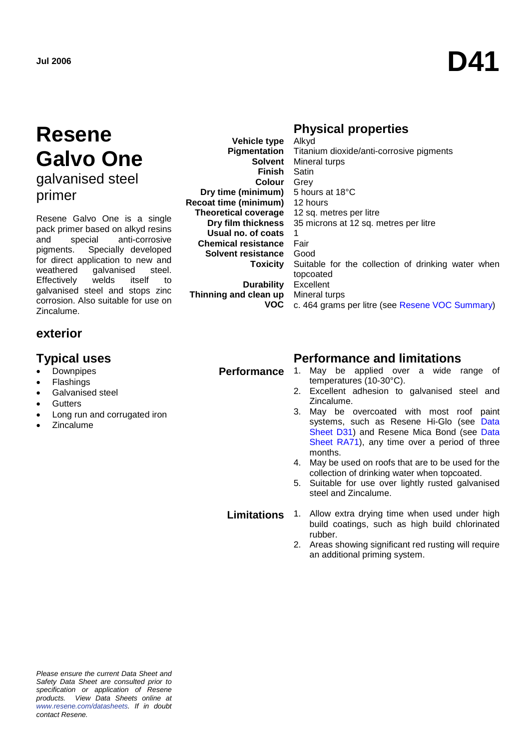# **Resene Galvo One** galvanised steel primer

Resene Galvo One is a single pack primer based on alkyd resins<br>and special anti-corrosive and special anti-corrosive pigments. Specially developed for direct application to new and<br>weathered aalvanised steel. galvanised steel.<br>welds itself to Effectively welds itself to galvanised steel and stops zinc corrosion. Also suitable for use on Zincalume.

# **exterior**

- **Downpipes**
- **Flashings**
- Galvanised steel
- Gutters
- Long run and corrugated iron
- **Zincalume**

# **Physical properties**

**Vehicle type Pigmentation Solvent** Mineral turps **Finish** Satin **Colour** Grey **Dry time (minimum)** 5 hours at 18°C **Recoat time (minimum) Theoretical coverage Dry film thickness Usual no. of coats Chemical resistance Solvent resistance Toxicity Durability Thinning and clean up VOC** Alkyd Titanium dioxide/anti-corrosive pigments 12 hours 12 sq. metres per litre 35 microns at 12 sq. metres per litre 1 Fair Good Suitable for the collection of drinking water when topcoated Excellent Mineral turps c. 464 grams per litre (see [Resene VOC Summary\)](http://www.resene.co.nz/archspec/datashts/vocsummary.pdf)

## **Typical uses Performance and limitations**

- **Performance** 1. May be applied over a wide range of temperatures (10-30°C).
	- 2. Excellent adhesion to galvanised steel and Zincalume.
	- 3. May be overcoated with most roof paint systems, such as Resene Hi-Glo (see Data [Sheet D31\)](http://www.resene.co.nz/archspec/datashts/d31_Hi-Glo_Acrylic.pdf) and Resene Mica Bond (see [Data](http://www.resene.co.nz/archspec/datashts/ra71_Mica_Bond.pdf)  [Sheet RA71\)](http://www.resene.co.nz/archspec/datashts/ra71_Mica_Bond.pdf), any time over a period of three months.
	- 4. May be used on roofs that are to be used for the collection of drinking water when topcoated.
	- 5. Suitable for use over lightly rusted galvanised steel and Zincalume.

- **Limitations** 1. Allow extra drying time when used under high build coatings, such as high build chlorinated rubber.
	- 2. Areas showing significant red rusting will require an additional priming system.